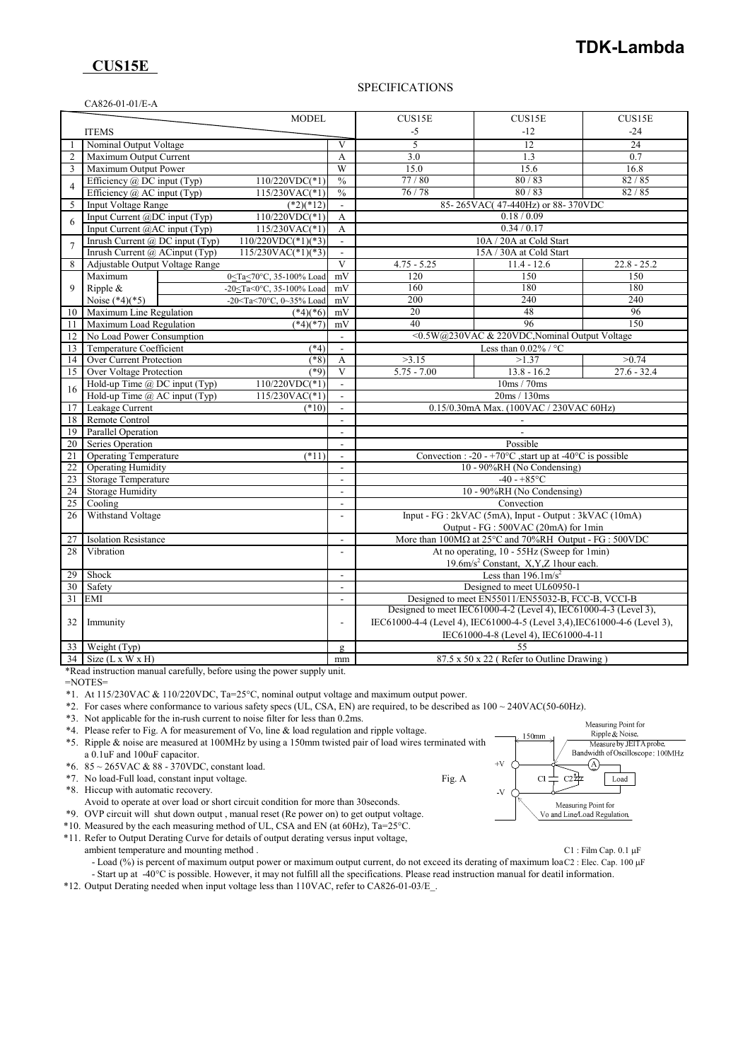## **TDK-Lambda**

## **CUS15E**

### SPECIFICATIONS

|                       | CA826-01-01/E-A                                   |                                                                                                  |                                    |                                                                               |                                                                             |               |  |
|-----------------------|---------------------------------------------------|--------------------------------------------------------------------------------------------------|------------------------------------|-------------------------------------------------------------------------------|-----------------------------------------------------------------------------|---------------|--|
|                       |                                                   | MODEL                                                                                            |                                    | CUS15E                                                                        | CUS15E                                                                      | CUS15E        |  |
|                       | <b>ITEMS</b>                                      |                                                                                                  |                                    | $-12$<br>-5                                                                   |                                                                             | $-24$         |  |
|                       | Nominal Output Voltage                            |                                                                                                  | V                                  | 5                                                                             | 12                                                                          | 24            |  |
| 2                     | Maximum Output Current                            |                                                                                                  | A                                  | 3.0                                                                           | 1.3                                                                         | 0.7           |  |
| 3                     | Maximum Output Power                              |                                                                                                  | W                                  | 15.0                                                                          | 15.6                                                                        | 16.8          |  |
|                       | Efficiency $@$ DC input (Typ)<br>$110/220VDC(*1)$ |                                                                                                  | $\frac{0}{0}$                      | 77/80                                                                         | 80/83                                                                       | 82/85         |  |
| $\overline{4}$        | Efficiency $@$ AC input (Typ)                     | $115/230VAC(*1)$                                                                                 | $\frac{0}{0}$                      | 76/78                                                                         | 80/83                                                                       | 82/85         |  |
| 5                     | <b>Input Voltage Range</b>                        | $(*2)(*12)$                                                                                      |                                    |                                                                               | 85-265VAC(47-440Hz) or 88-370VDC                                            |               |  |
| 6                     | Input Current @DC input (Typ)                     | $110/220VDC(*1)$                                                                                 | $\mathbf{A}$                       | 0.18 / 0.09                                                                   |                                                                             |               |  |
|                       | Input Current @AC input (Typ)<br>$115/230VAC(*1)$ |                                                                                                  | $\mathbf{A}$                       | 0.34/0.17                                                                     |                                                                             |               |  |
| $\overline{7}$        | Inrush Current @ DC input (Typ)                   | $\sqrt{110/220VDC(^*1)(}^*3)$                                                                    | $\overline{\phantom{a}}$           | 10A / 20A at Cold Start                                                       |                                                                             |               |  |
|                       | Inrush Current @ ACinput (Typ)                    | $115/230VAC(*1)(*3)$                                                                             | $\sim$                             | 15A / 30A at Cold Start                                                       |                                                                             |               |  |
| 8                     | Adjustable Output Voltage Range                   |                                                                                                  | V                                  | $4.75 - 5.25$                                                                 | $11.4 - 12.6$                                                               | $22.8 - 25.2$ |  |
|                       | Maximum                                           | 0 <ta<70°c, 35-100%="" load<="" td=""><td>mV</td><td>120</td><td>150</td><td>150</td></ta<70°c,> | mV                                 | 120                                                                           | 150                                                                         | 150           |  |
| 9                     | Ripple &                                          | -20 <ta<0°c, 35-100%="" load<="" td=""><td>mV</td><td>160</td><td>180</td><td>180</td></ta<0°c,> | mV                                 | 160                                                                           | 180                                                                         | 180           |  |
|                       | Noise $(*4)(*5)$                                  | -20 <ta<70°c, 0~35%="" load<="" td=""><td>mV</td><td>200</td><td>240</td><td>240</td></ta<70°c,> | mV                                 | 200                                                                           | 240                                                                         | 240           |  |
| 10                    | Maximum Line Regulation                           | $(*4)(*6)$                                                                                       | mV                                 | 20                                                                            | 48                                                                          | 96            |  |
| 11                    | Maximum Load Regulation                           | $(*4)(*7)$                                                                                       | mV                                 | 40                                                                            | 96                                                                          | 150           |  |
| 12                    | No Load Power Consumption                         |                                                                                                  | $\mathbf{r}$                       | <0.5W@230VAC & 220VDC, Nominal Output Voltage                                 |                                                                             |               |  |
| 13                    | Temperature Coefficient<br>(4)                    |                                                                                                  |                                    | Less than $0.02\%$ / °C                                                       |                                                                             |               |  |
| 14                    | Over Current Protection                           | $(*8)$                                                                                           | $\overline{A}$                     | >3.15                                                                         | >1.37                                                                       | >0.74         |  |
| 15                    | Over Voltage Protection<br>$(*9)$                 |                                                                                                  | $\overline{\mathbf{V}}$            | $5.75 - 7.00$                                                                 | $13.8 - 16.2$                                                               | $27.6 - 32.4$ |  |
| 16                    | Hold-up Time @ DC input (Typ)<br>$110/220VDC(*1)$ |                                                                                                  | $\overline{\phantom{a}}$           | 10ms/70ms<br>20ms / 130ms<br>$\blacksquare$                                   |                                                                             |               |  |
|                       |                                                   | Hold-up Time @ AC input (Typ)<br>$115/230VAC(*1)$<br>Leakage Current<br>$(*10)$                  |                                    |                                                                               |                                                                             |               |  |
| 17                    | Remote Control                                    |                                                                                                  |                                    | 0.15/0.30mA Max. (100VAC / 230VAC 60Hz)                                       |                                                                             |               |  |
| 18                    |                                                   |                                                                                                  |                                    |                                                                               |                                                                             |               |  |
| 19                    | Parallel Operation<br>Series Operation            |                                                                                                  |                                    | Possible                                                                      |                                                                             |               |  |
| 20<br>$\overline{21}$ | <b>Operating Temperature</b><br>$(*11)$           |                                                                                                  |                                    | Convection : -20 - +70 $^{\circ}$ C, start up at -40 $^{\circ}$ C is possible |                                                                             |               |  |
| $\overline{22}$       | <b>Operating Humidity</b>                         |                                                                                                  | $\sim$<br>$\overline{\phantom{a}}$ | 10 - 90%RH (No Condensing)                                                    |                                                                             |               |  |
| 23                    | Storage Temperature                               |                                                                                                  | $\sim$                             | $-40 - +85$ °C                                                                |                                                                             |               |  |
| 24                    | <b>Storage Humidity</b>                           |                                                                                                  |                                    | 10 - 90%RH (No Condensing)                                                    |                                                                             |               |  |
| 25                    | Cooling                                           |                                                                                                  | $\sim$                             | Convection                                                                    |                                                                             |               |  |
| 26                    | Withstand Voltage                                 |                                                                                                  | $\overline{\phantom{a}}$           | Input - FG : 2kVAC (5mA), Input - Output : 3kVAC (10mA)                       |                                                                             |               |  |
|                       |                                                   |                                                                                                  |                                    | Output - FG : 500VAC (20mA) for 1min                                          |                                                                             |               |  |
| 27                    | <b>Isolation Resistance</b>                       |                                                                                                  | $\overline{\phantom{a}}$           |                                                                               | More than $100M\Omega$ at $25^{\circ}$ C and $70\%$ RH Output - FG : 500VDC |               |  |
| 28                    | Vibration                                         |                                                                                                  | $\overline{a}$                     | At no operating, 10 - 55Hz (Sweep for 1min)                                   |                                                                             |               |  |
|                       |                                                   |                                                                                                  |                                    |                                                                               | 19.6m/s <sup>2</sup> Constant, X,Y,Z 1hour each.                            |               |  |
| 29                    | Shock                                             |                                                                                                  | $\overline{a}$                     | Less than $196.1 \text{m/s}^2$                                                |                                                                             |               |  |
| 30                    | Safety                                            |                                                                                                  | $\sim$                             | Designed to meet UL60950-1                                                    |                                                                             |               |  |
| 31                    | EMI                                               |                                                                                                  | $\sim$                             | Designed to meet EN55011/EN55032-B, FCC-B, VCCI-B                             |                                                                             |               |  |
|                       |                                                   |                                                                                                  |                                    | Designed to meet IEC61000-4-2 (Level 4), IEC61000-4-3 (Level 3),              |                                                                             |               |  |
| 32                    | Immunity                                          |                                                                                                  |                                    | IEC61000-4-4 (Level 4), IEC61000-4-5 (Level 3,4), IEC61000-4-6 (Level 3),     |                                                                             |               |  |
|                       |                                                   |                                                                                                  |                                    | IEC61000-4-8 (Level 4), IEC61000-4-11                                         |                                                                             |               |  |
| 33                    | Weight (Typ)                                      |                                                                                                  |                                    | 55                                                                            |                                                                             |               |  |
|                       | $34$ Size (L x W x H)                             |                                                                                                  | mm                                 | 87.5 x 50 x 22 (Refer to Outline Drawing)                                     |                                                                             |               |  |

\*Read instruction manual carefully, before using the power supply unit.

=NOTES=

\*1. At 115/230VAC & 110/220VDC, Ta=25°C, nominal output voltage and maximum output power.

\*2. For cases where conformance to various safety specs (UL, CSA, EN) are required, to be described as 100 ~ 240VAC(50-60Hz).

\*3. Not applicable for the in-rush current to noise filter for less than 0.2ms.

\*4. Please refer to Fig. A for measurement of Vo, line & load regulation and ripple voltage.



\*5. Ripple & noise are measured at 100MHz by using a 150mm twisted pair of load wires terminated with a 0.1uF and 100uF capacitor. \*6. 85 ~ 265VAC & 88 - 370VDC, constant load. \*7. No load-Full load, constant input voltage. Fig. A \*8. Hiccup with automatic recovery.

Avoid to operate at over load or short circuit condition for more than 30seconds.

\*9. OVP circuit will shut down output , manual reset (Re power on) to get output voltage.

\*10. Measured by the each measuring method of UL, CSA and EN (at 60Hz), Ta=25°C.

\*11. Refer to Output Derating Curve for details of output derating versus input voltage, ambient temperature and mounting method . C1 : Film Cap. 0.1 µF

- Load (%) is percent of maximum output power or maximum output current, do not exceed its derating of maximum loaC2 : Elec. Cap. 100 µF - Start up at -40°C is possible. However, it may not fulfill all the specifications. Please read instruction manual for deatil information.

\*12. Output Derating needed when input voltage less than 110VAC, refer to CA826-01-03/E\_.

Measuring Point for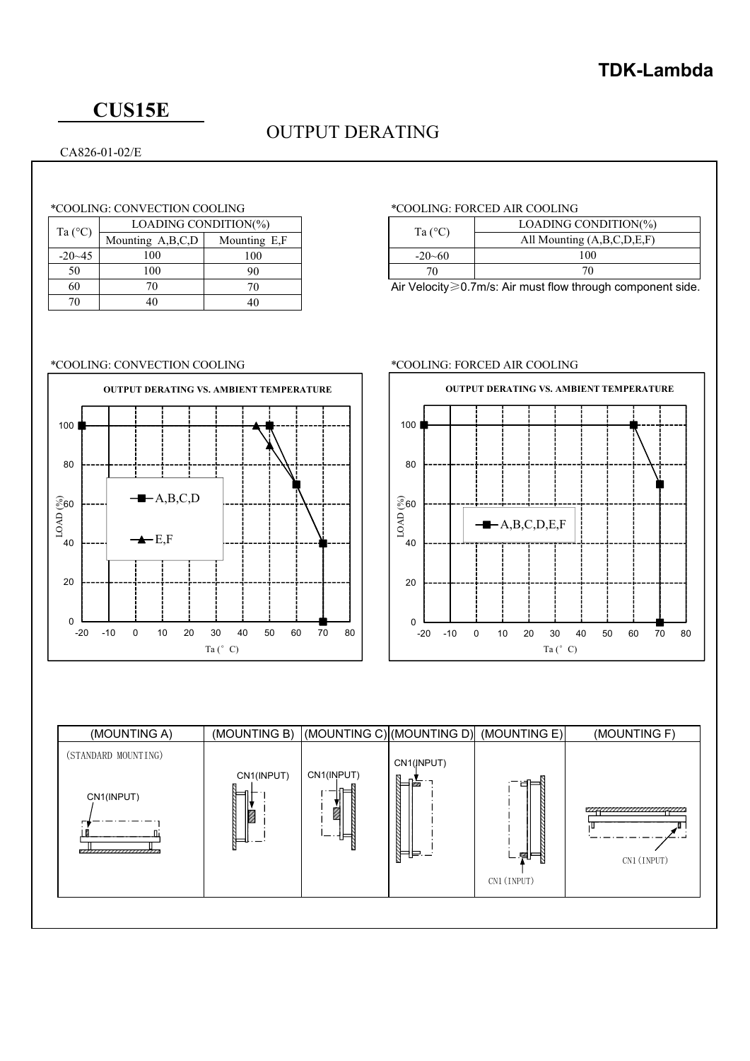# **CUS15E**

# OUTPUT DERATING

## CA826-01-02/E

### \*COOLING: CONVECTION COOLING \*COOLING: FORCED AIR COOLING

|  | Ta $(^{\circ}C)$ | LOADING CONDITION(%) |              | Ta $(^{\circ}C)$ | <b>LOADING CO</b>                                   |                |  |
|--|------------------|----------------------|--------------|------------------|-----------------------------------------------------|----------------|--|
|  |                  | Mounting A,B,C,D     | Mounting E,F |                  |                                                     | All Mounting ( |  |
|  | $-20-45$         | 100                  | 100          |                  | $-20 - 60$                                          | 100            |  |
|  | 50               | 100                  | 90           |                  |                                                     | 70             |  |
|  | 60               |                      |              |                  | Air Velocity $\geqslant$ 0.7m/s: Air must flow thro |                |  |
|  | 70               | 40                   | 40           |                  |                                                     |                |  |

| Ta $(^{\circ}C)$ | LOADING CONDITION(%)       |  |  |  |
|------------------|----------------------------|--|--|--|
|                  | All Mounting (A,B,C,D,E,F) |  |  |  |
| $-20-60$         | 100                        |  |  |  |
|                  |                            |  |  |  |

Air Velocity $\geq 0.7$ m/s: Air must flow through component side.